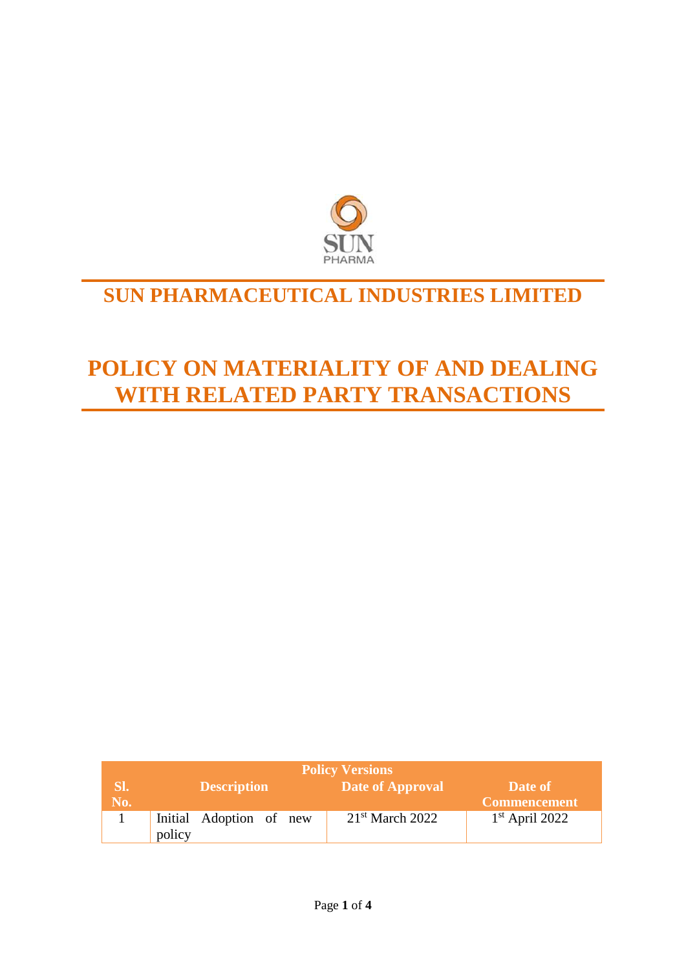

## **SUN PHARMACEUTICAL INDUSTRIES LIMITED**

# **POLICY ON MATERIALITY OF AND DEALING WITH RELATED PARTY TRANSACTIONS**

| <b>Policy Versions</b> |                         |                         |                     |  |
|------------------------|-------------------------|-------------------------|---------------------|--|
| SI.,                   | Description             | <b>Date of Approval</b> | Date of             |  |
| No.                    |                         |                         | <b>Commencement</b> |  |
|                        | Initial Adoption of new | $21st$ March 2022       | $1st$ April 2022    |  |
|                        | policy                  |                         |                     |  |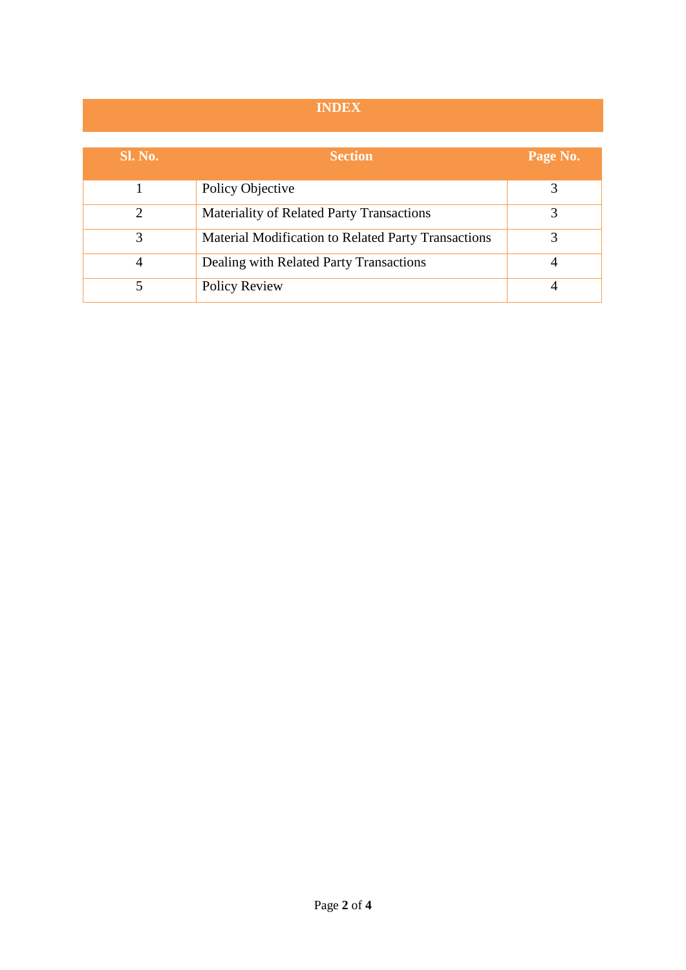### **INDEX**

| <b>Sl. No.</b> | <b>Section</b>                                      | Page No. |
|----------------|-----------------------------------------------------|----------|
|                |                                                     |          |
|                | Policy Objective                                    |          |
|                | <b>Materiality of Related Party Transactions</b>    |          |
| 3              | Material Modification to Related Party Transactions | 3        |
| 4              | Dealing with Related Party Transactions             |          |
|                | <b>Policy Review</b>                                |          |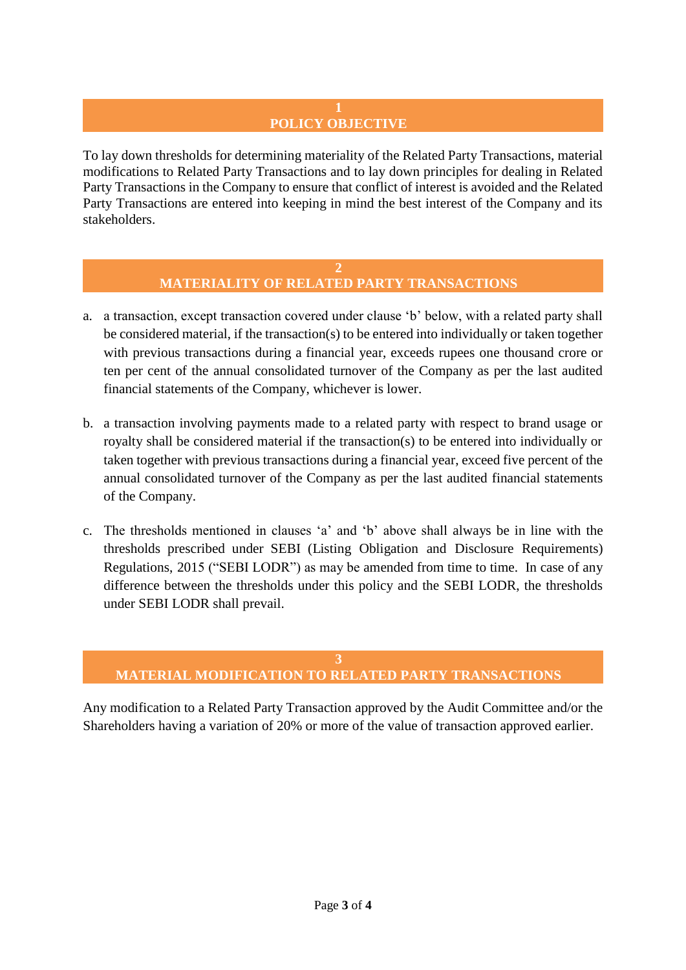## **POLICY OBJECTIVE**

To lay down thresholds for determining materiality of the Related Party Transactions, material modifications to Related Party Transactions and to lay down principles for dealing in Related Party Transactions in the Company to ensure that conflict of interest is avoided and the Related Party Transactions are entered into keeping in mind the best interest of the Company and its stakeholders.

#### **2 MATERIALITY OF RELATED PARTY TRANSACTIONS**

- a. a transaction, except transaction covered under clause 'b' below, with a related party shall be considered material, if the transaction(s) to be entered into individually or taken together with previous transactions during a financial year, exceeds rupees one thousand crore or ten per cent of the annual consolidated turnover of the Company as per the last audited financial statements of the Company, whichever is lower.
- b. a transaction involving payments made to a related party with respect to brand usage or royalty shall be considered material if the transaction(s) to be entered into individually or taken together with previous transactions during a financial year, exceed five percent of the annual consolidated turnover of the Company as per the last audited financial statements of the Company.
- c. The thresholds mentioned in clauses 'a' and 'b' above shall always be in line with the thresholds prescribed under SEBI (Listing Obligation and Disclosure Requirements) Regulations, 2015 ("SEBI LODR") as may be amended from time to time. In case of any difference between the thresholds under this policy and the SEBI LODR, the thresholds under SEBI LODR shall prevail.

#### **3**

### **MATERIAL MODIFICATION TO RELATED PARTY TRANSACTIONS**

Any modification to a Related Party Transaction approved by the Audit Committee and/or the Shareholders having a variation of 20% or more of the value of transaction approved earlier.